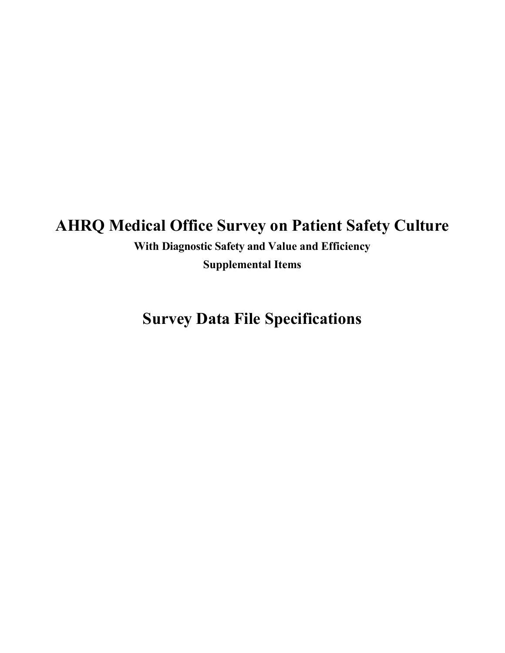# **AHRQ Medical Office Survey on Patient Safety Culture**

**With Diagnostic Safety and Value and Efficiency Supplemental Items**

**Survey Data File Specifications**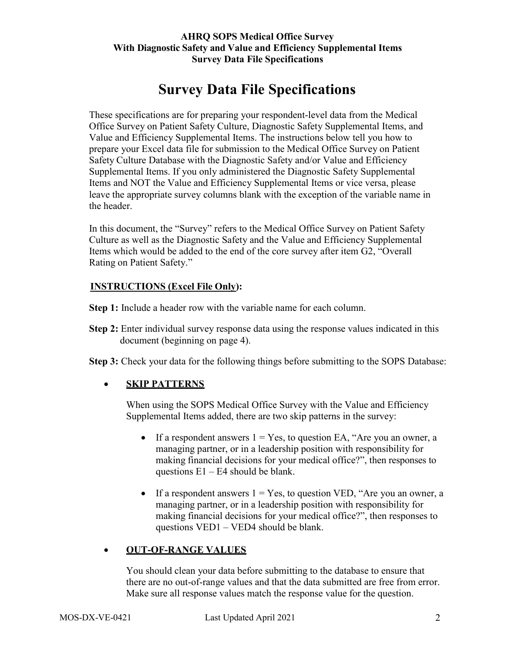## **Survey Data File Specifications**

These specifications are for preparing your respondent-level data from the Medical Office Survey on Patient Safety Culture, Diagnostic Safety Supplemental Items, and Value and Efficiency Supplemental Items. The instructions below tell you how to prepare your Excel data file for submission to the Medical Office Survey on Patient Safety Culture Database with the Diagnostic Safety and/or Value and Efficiency Supplemental Items. If you only administered the Diagnostic Safety Supplemental Items and NOT the Value and Efficiency Supplemental Items or vice versa, please leave the appropriate survey columns blank with the exception of the variable name in the header.

In this document, the "Survey" refers to the Medical Office Survey on Patient Safety Culture as well as the Diagnostic Safety and the Value and Efficiency Supplemental Items which would be added to the end of the core survey after item G2, "Overall Rating on Patient Safety."

#### **INSTRUCTIONS (Excel File Only):**

- **Step 1:** Include a header row with the variable name for each column.
- **Step 2:** Enter individual survey response data using the response values indicated in this document (beginning on page 4).
- **Step 3:** Check your data for the following things before submitting to the SOPS Database:

#### • **SKIP PATTERNS**

When using the SOPS Medical Office Survey with the Value and Efficiency Supplemental Items added, there are two skip patterns in the survey:

- If a respondent answers  $1 = Yes$ , to question EA, "Are you an owner, a managing partner, or in a leadership position with responsibility for making financial decisions for your medical office?", then responses to questions  $E1 - E4$  should be blank.
- If a respondent answers  $1 = Yes$ , to question VED, "Are you an owner, a managing partner, or in a leadership position with responsibility for making financial decisions for your medical office?", then responses to questions VED1 – VED4 should be blank.

#### • **OUT-OF-RANGE VALUES**

You should clean your data before submitting to the database to ensure that there are no out-of-range values and that the data submitted are free from error. Make sure all response values match the response value for the question.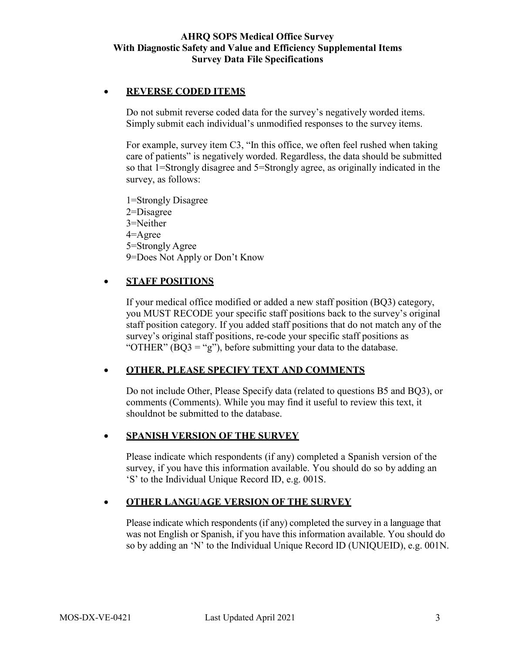#### • **REVERSE CODED ITEMS**

Do not submit reverse coded data for the survey's negatively worded items. Simply submit each individual's unmodified responses to the survey items.

For example, survey item C3, "In this office, we often feel rushed when taking care of patients" is negatively worded. Regardless, the data should be submitted so that 1=Strongly disagree and 5=Strongly agree, as originally indicated in the survey, as follows:

1=Strongly Disagree 2=Disagree

- 3=Neither
- 4=Agree
- 5=Strongly Agree
- 9=Does Not Apply or Don't Know

#### • **STAFF POSITIONS**

If your medical office modified or added a new staff position (BQ3) category, you MUST RECODE your specific staff positions back to the survey's original staff position category. If you added staff positions that do not match any of the survey's original staff positions, re-code your specific staff positions as "OTHER"  $(BQ3 = "g")$ , before submitting your data to the database.

#### • **OTHER, PLEASE SPECIFY TEXT AND COMMENTS**

Do not include Other, Please Specify data (related to questions B5 and BQ3), or comments (Comments). While you may find it useful to review this text, it should not be submitted to the database.

#### • **SPANISH VERSION OF THE SURVEY**

Please indicate which respondents (if any) completed a Spanish version of the survey, if you have this information available. You should do so by adding an 'S' to the Individual Unique Record ID, e.g. 001S.

#### • **OTHER LANGUAGE VERSION OF THE SURVEY**

Please indicate which respondents (if any) completed the survey in a language that was not English or Spanish, if you have this information available. You should do so by adding an 'N' to the Individual Unique Record ID (UNIQUEID), e.g. 001N.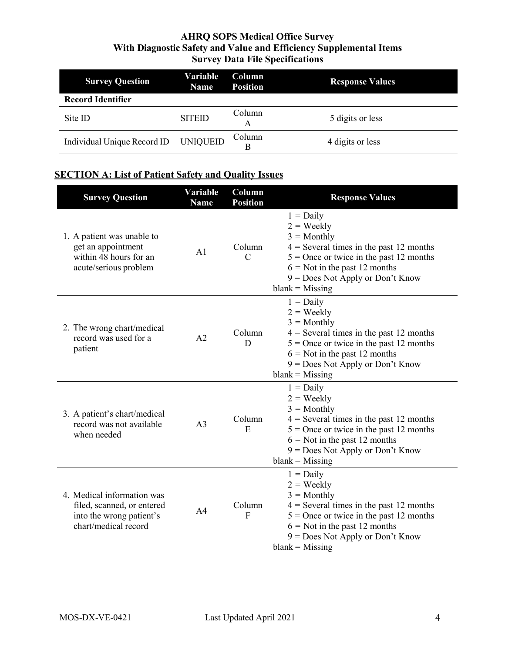| <b>Survey Question</b>               | Variable<br><b>Name</b> | <b>Column</b><br><b>Position</b> | <b>Response Values</b> |
|--------------------------------------|-------------------------|----------------------------------|------------------------|
| <b>Record Identifier</b>             |                         |                                  |                        |
| Site ID                              | <b>SITEID</b>           | Column<br>А                      | 5 digits or less       |
| Individual Unique Record ID UNIQUEID |                         | Column<br>B                      | 4 digits or less       |

## **SECTION A: List of Patient Safety and Quality Issues**

| <b>Survey Question</b>                                                                                       | Variable<br><b>Name</b> | Column<br><b>Position</b> | <b>Response Values</b>                                                                                                                                                                                                                      |
|--------------------------------------------------------------------------------------------------------------|-------------------------|---------------------------|---------------------------------------------------------------------------------------------------------------------------------------------------------------------------------------------------------------------------------------------|
| 1. A patient was unable to<br>get an appointment<br>within 48 hours for an<br>acute/serious problem          | A <sub>1</sub>          | Column<br>$\mathcal{C}$   | $1 = Daily$<br>$2 = \text{Weakly}$<br>$3 =$ Monthly<br>$4$ = Several times in the past 12 months<br>$5 =$ Once or twice in the past 12 months<br>$6 =$ Not in the past 12 months<br>$9 = Does Not Apply or Don't Know$<br>$blank = Missing$ |
| 2. The wrong chart/medical<br>record was used for a<br>patient                                               | A <sub>2</sub>          | Column<br>D               | $1 = Daily$<br>$2 = \text{Weakly}$<br>$3 =$ Monthly<br>$4$ = Several times in the past 12 months<br>$5$ = Once or twice in the past 12 months<br>$6 =$ Not in the past 12 months<br>$9 = Does Not Apply or Don't Know$<br>$blank = Missing$ |
| 3. A patient's chart/medical<br>record was not available<br>when needed                                      | A <sub>3</sub>          | Column<br>E               | $1 = Daily$<br>$2 = \text{Weakly}$<br>$3 =$ Monthly<br>$4$ = Several times in the past 12 months<br>$5 =$ Once or twice in the past 12 months<br>$6 =$ Not in the past 12 months<br>9 = Does Not Apply or Don't Know<br>$blank = Missing$   |
| 4. Medical information was<br>filed, scanned, or entered<br>into the wrong patient's<br>chart/medical record | A <sub>4</sub>          | Column<br>F               | $1 = Daily$<br>$2 = \text{Weakly}$<br>$3 =$ Monthly<br>$4$ = Several times in the past 12 months<br>$5 =$ Once or twice in the past 12 months<br>$6 =$ Not in the past 12 months<br>$9 = Does Not Apply or Don't Know$<br>$blank = Missing$ |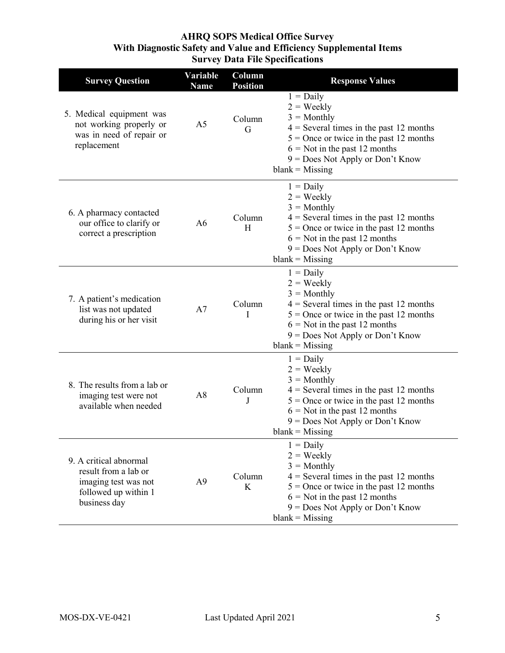| <b>Survey Question</b>                                                                                         | <b>Variable</b><br><b>Name</b> | Column<br><b>Position</b> | <b>Response Values</b>                                                                                                                                                                                                                      |
|----------------------------------------------------------------------------------------------------------------|--------------------------------|---------------------------|---------------------------------------------------------------------------------------------------------------------------------------------------------------------------------------------------------------------------------------------|
| 5. Medical equipment was<br>not working properly or<br>was in need of repair or<br>replacement                 | A <sub>5</sub>                 | Column<br>G               | $1 = Daily$<br>$2 = \text{Weakly}$<br>$3 =$ Monthly<br>$4$ = Several times in the past 12 months<br>$5$ = Once or twice in the past 12 months<br>$6 =$ Not in the past 12 months<br>$9 = Does Not Apply or Don't Know$<br>$blank = Missing$ |
| 6. A pharmacy contacted<br>our office to clarify or<br>correct a prescription                                  | A6                             | Column<br>H               | $1 = Daily$<br>$2 = \text{Weakly}$<br>$3 =$ Monthly<br>$4$ = Several times in the past 12 months<br>$5$ = Once or twice in the past 12 months<br>$6 =$ Not in the past 12 months<br>$9 = Does Not Apply or Don't Know$<br>$blank = Missing$ |
| 7. A patient's medication<br>list was not updated<br>during his or her visit                                   | A7                             | Column<br>I               | $1 = Daily$<br>$2 = \text{Weakly}$<br>$3 =$ Monthly<br>$4$ = Several times in the past 12 months<br>$5 =$ Once or twice in the past 12 months<br>$6 =$ Not in the past 12 months<br>9 = Does Not Apply or Don't Know<br>$blank = Missing$   |
| 8. The results from a lab or<br>imaging test were not<br>available when needed                                 | A8                             | Column<br>J               | $1 = Daily$<br>$2 = \text{Weakly}$<br>$3 =$ Monthly<br>$4$ = Several times in the past 12 months<br>$5$ = Once or twice in the past 12 months<br>$6 =$ Not in the past 12 months<br>$9 = Does Not Apply or Don't Know$<br>$blank = Missing$ |
| 9. A critical abnormal<br>result from a lab or<br>imaging test was not<br>followed up within 1<br>business day | A <sub>9</sub>                 | Column<br>K               | $1 = Daily$<br>$2 = \text{Weakly}$<br>$3 =$ Monthly<br>$4$ = Several times in the past 12 months<br>$5$ = Once or twice in the past 12 months<br>$6 =$ Not in the past 12 months<br>$9 = Does Not Apply or Don't Know$<br>$blank = Missing$ |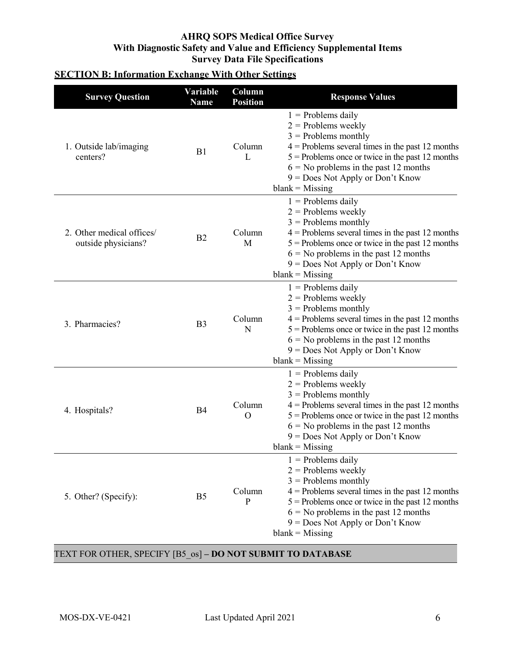## **SECTION B: Information Exchange With Other Settings**

| <b>Survey Question</b>                           | Variable<br><b>Name</b> | Column<br><b>Position</b> | <b>Response Values</b>                                                                                                                                                                                                                                                                    |
|--------------------------------------------------|-------------------------|---------------------------|-------------------------------------------------------------------------------------------------------------------------------------------------------------------------------------------------------------------------------------------------------------------------------------------|
| 1. Outside lab/imaging<br>centers?               | B1                      | Column<br>L               | $1$ = Problems daily<br>$2$ = Problems weekly<br>$3$ = Problems monthly<br>$4$ = Problems several times in the past 12 months<br>$5$ = Problems once or twice in the past 12 months<br>$6 =$ No problems in the past 12 months<br>$9 = Does Not Apply or Don't Know$<br>$blank = Missing$ |
| 2. Other medical offices/<br>outside physicians? | B2                      | Column<br>M               | $1$ = Problems daily<br>$2$ = Problems weekly<br>$3$ = Problems monthly<br>$4$ = Problems several times in the past 12 months<br>$5$ = Problems once or twice in the past 12 months<br>$6 =$ No problems in the past 12 months<br>9 = Does Not Apply or Don't Know<br>$blank = Missing$   |
| 3. Pharmacies?                                   | B <sub>3</sub>          | Column<br>N               | $1$ = Problems daily<br>$2$ = Problems weekly<br>$3$ = Problems monthly<br>$4$ = Problems several times in the past 12 months<br>$5$ = Problems once or twice in the past 12 months<br>$6 =$ No problems in the past 12 months<br>$9 = Does Not Apply or Don't Know$<br>$blank = Missing$ |
| 4. Hospitals?                                    | <b>B4</b>               | Column<br>O               | $1$ = Problems daily<br>$2$ = Problems weekly<br>$3$ = Problems monthly<br>$4$ = Problems several times in the past 12 months<br>$5$ = Problems once or twice in the past 12 months<br>$6 =$ No problems in the past 12 months<br>$9 = Does Not Apply or Don't Know$<br>$blank = Missing$ |
| 5. Other? (Specify):                             | B <sub>5</sub>          | Column<br>$\mathbf{P}$    | $1$ = Problems daily<br>$2$ = Problems weekly<br>$3$ = Problems monthly<br>$4$ = Problems several times in the past 12 months<br>$5$ = Problems once or twice in the past 12 months<br>$6 =$ No problems in the past 12 months<br>$9 = Does Not Apply or Don't Know$<br>$blank = Missing$ |

#### TEXT FOR OTHER, SPECIFY [B5\_os] **– DO NOT SUBMIT TO DATABASE**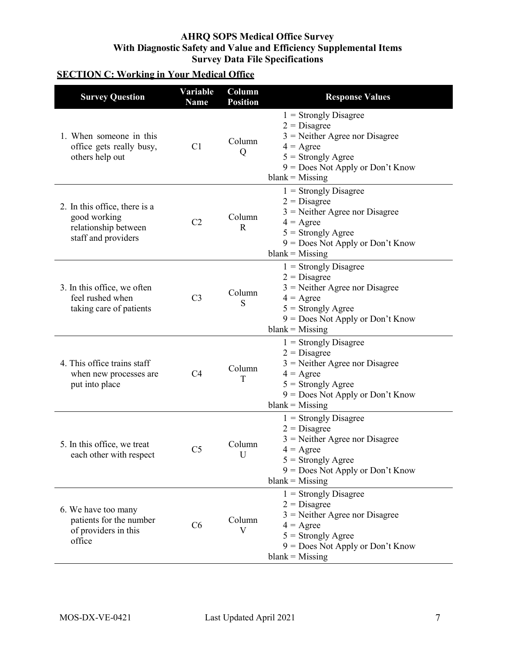## **SECTION C: Working in Your Medical Office**

| <b>Survey Question</b>                                                                       | Variable<br><b>Name</b> | Column<br><b>Position</b> | <b>Response Values</b>                                                                                                                                                                 |
|----------------------------------------------------------------------------------------------|-------------------------|---------------------------|----------------------------------------------------------------------------------------------------------------------------------------------------------------------------------------|
| 1. When someone in this<br>office gets really busy,<br>others help out                       | C1                      | Column<br>Q               | $1 =$ Strongly Disagree<br>$2 = Disagree$<br>$3$ = Neither Agree nor Disagree<br>$4 = \text{Agree}$<br>$5 =$ Strongly Agree<br>$9 = Does Not Apply or Don't Know$<br>$blank = Missing$ |
| 2. In this office, there is a<br>good working<br>relationship between<br>staff and providers | C <sub>2</sub>          | Column<br>$\mathbf R$     | $1 =$ Strongly Disagree<br>$2 = Disagree$<br>$3$ = Neither Agree nor Disagree<br>$4 = \text{Agree}$<br>$5 =$ Strongly Agree<br>9 = Does Not Apply or Don't Know<br>$blank = Missing$   |
| 3. In this office, we often<br>feel rushed when<br>taking care of patients                   | C <sub>3</sub>          | Column<br>S               | $1 =$ Strongly Disagree<br>$2 = Disagree$<br>$3$ = Neither Agree nor Disagree<br>$4 = \text{Agree}$<br>$5 =$ Strongly Agree<br>9 = Does Not Apply or Don't Know<br>$blank = Missing$   |
| 4. This office trains staff<br>when new processes are<br>put into place                      | C4                      | Column<br>T               | $1 =$ Strongly Disagree<br>$2 = Disagree$<br>$3$ = Neither Agree nor Disagree<br>$4 = \text{Agree}$<br>$5 =$ Strongly Agree<br>9 = Does Not Apply or Don't Know<br>$blank = Missing$   |
| 5. In this office, we treat<br>each other with respect                                       | C <sub>5</sub>          | Column<br>U               | $1 =$ Strongly Disagree<br>$2 = Disagree$<br>$3$ = Neither Agree nor Disagree<br>$4 = \text{Agree}$<br>$5 =$ Strongly Agree<br>9 = Does Not Apply or Don't Know<br>$blank = Missing$   |
| 6. We have too many<br>patients for the number<br>of providers in this<br>office             | C6                      | Column<br>$\mathbf{V}$    | $1 =$ Strongly Disagree<br>$2 = Disagree$<br>$3$ = Neither Agree nor Disagree<br>$4 = \text{Agree}$<br>$5 =$ Strongly Agree<br>9 = Does Not Apply or Don't Know<br>$blank = Missing$   |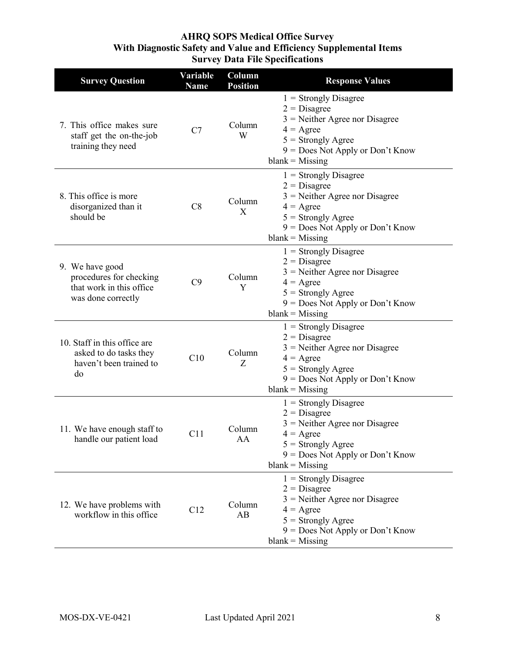| <b>Survey Question</b>                                                                       | Variable<br><b>Name</b> | Column<br><b>Position</b> | <b>Response Values</b>                                                                                                                                                                 |
|----------------------------------------------------------------------------------------------|-------------------------|---------------------------|----------------------------------------------------------------------------------------------------------------------------------------------------------------------------------------|
| 7. This office makes sure<br>staff get the on-the-job<br>training they need                  | C7                      | Column<br>W               | $1 =$ Strongly Disagree<br>$2 = Disagree$<br>$3$ = Neither Agree nor Disagree<br>$4 = \text{Agree}$<br>$5 =$ Strongly Agree<br>$9 = Does Not Apply or Don't Know$<br>$blank = Missing$ |
| 8. This office is more<br>disorganized than it<br>should be                                  | C8                      | Column<br>X               | $1 =$ Strongly Disagree<br>$2 = Disagree$<br>$3$ = Neither Agree nor Disagree<br>$4 = \text{Agree}$<br>$5 =$ Strongly Agree<br>$9 = Does Not Apply or Don't Know$<br>$blank = Missing$ |
| 9. We have good<br>procedures for checking<br>that work in this office<br>was done correctly | C9                      | Column<br>Y               | $1 =$ Strongly Disagree<br>$2 = Disagree$<br>$3$ = Neither Agree nor Disagree<br>$4 = \text{Agree}$<br>$5 =$ Strongly Agree<br>$9 = Does Not Apply or Don't Know$<br>$blank = Missing$ |
| 10. Staff in this office are<br>asked to do tasks they<br>haven't been trained to<br>do      | C10                     | Column<br>Ζ               | $1 =$ Strongly Disagree<br>$2 = Disagree$<br>$3$ = Neither Agree nor Disagree<br>$4 = \text{Agree}$<br>$5 =$ Strongly Agree<br>9 = Does Not Apply or Don't Know<br>$blank = Missing$   |
| 11. We have enough staff to<br>handle our patient load                                       | C11                     | Column<br>AA              | $1 =$ Strongly Disagree<br>$2 = Disagree$<br>$3$ = Neither Agree nor Disagree<br>$4 = \text{Agree}$<br>$5 =$ Strongly Agree<br>9 = Does Not Apply or Don't Know<br>$blank = Missing$   |
| 12. We have problems with<br>workflow in this office                                         | C12                     | Column<br>AB              | $1 =$ Strongly Disagree<br>$2 = Disagree$<br>$3$ = Neither Agree nor Disagree<br>$4 = \text{Agree}$<br>$5 =$ Strongly Agree<br>$9 = Does Not Apply or Don't Know$<br>$blank = Missing$ |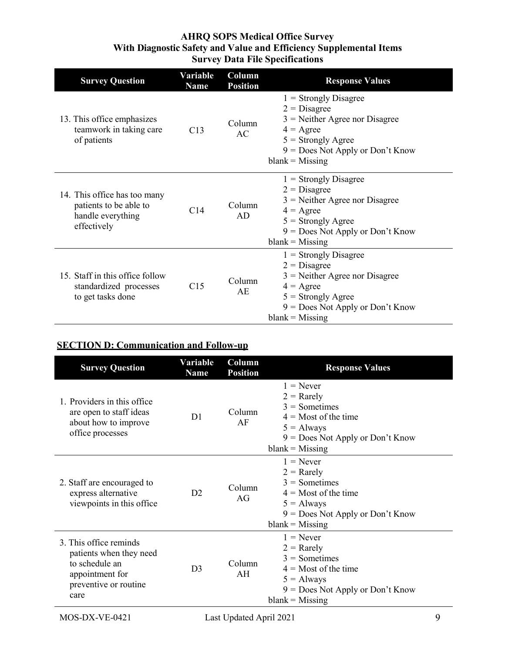| <b>Survey Question</b>                                                                     | Variable<br><b>Name</b> | Column<br><b>Position</b> | <b>Response Values</b>                                                                                                                                                                 |
|--------------------------------------------------------------------------------------------|-------------------------|---------------------------|----------------------------------------------------------------------------------------------------------------------------------------------------------------------------------------|
| 13. This office emphasizes<br>teamwork in taking care<br>of patients                       | C13                     | Column<br>AC              | $1 =$ Strongly Disagree<br>$2 = Disagree$<br>$3$ = Neither Agree nor Disagree<br>$4 = \text{Agree}$<br>$5 =$ Strongly Agree<br>$9 = Does Not Apply or Don't Know$<br>$blank = Missing$ |
| 14. This office has too many<br>patients to be able to<br>handle everything<br>effectively | C14                     | Column<br>AD              | $1 =$ Strongly Disagree<br>$2 = Disagree$<br>$3$ = Neither Agree nor Disagree<br>$4 = \text{Agree}$<br>$5 =$ Strongly Agree<br>$9 = Does Not Apply or Don't Know$<br>$blank = Missing$ |
| 15. Staff in this office follow<br>standardized processes<br>to get tasks done             | C15                     | Column<br>AE              | $1 =$ Strongly Disagree<br>$2 = Disagree$<br>$3$ = Neither Agree nor Disagree<br>$4 = \text{Agree}$<br>$5 =$ Strongly Agree<br>$9 = Does Not Apply or Don't Know$<br>$blank = Missing$ |

## **SECTION D: Communication and Follow-up**

| <b>Survey Question</b>                                                                                                  | Variable<br><b>Name</b> | Column<br><b>Position</b> | <b>Response Values</b>                                                                                                                              |
|-------------------------------------------------------------------------------------------------------------------------|-------------------------|---------------------------|-----------------------------------------------------------------------------------------------------------------------------------------------------|
| 1. Providers in this office.<br>are open to staff ideas<br>about how to improve<br>office processes                     | D <sub>1</sub>          | Column<br>AF              | $1 =$ Never<br>$2 =$ Rarely<br>$3 =$ Sometimes<br>$4 =$ Most of the time<br>$5 =$ Always<br>$9 = Does Not Apply or Don't Know$<br>$blank = Missing$ |
| 2. Staff are encouraged to<br>express alternative<br>viewpoints in this office                                          | D2                      | Column<br>AG              | $1 =$ Never<br>$2 =$ Rarely<br>$3 =$ Sometimes<br>$4 =$ Most of the time<br>$5 =$ Always<br>$9 = Does Not Apply or Don't Know$<br>$blank = Missing$ |
| 3. This office reminds<br>patients when they need<br>to schedule an<br>appointment for<br>preventive or routine<br>care | D <sub>3</sub>          | Column<br>AH              | $1 =$ Never<br>$2 =$ Rarely<br>$3 =$ Sometimes<br>$4 =$ Most of the time<br>$5 =$ Always<br>$9 = Does Not Apply or Don't Know$<br>$blank = Missing$ |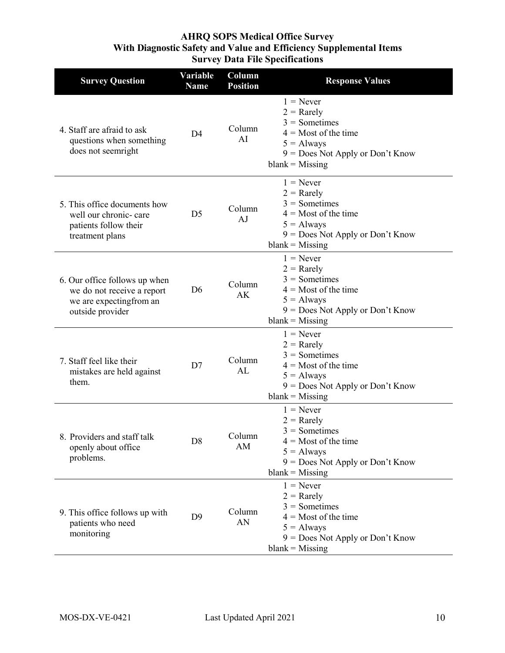| <b>Survey Question</b>                                                                                      | Variable<br><b>Name</b> | Column<br><b>Position</b> | <b>Response Values</b>                                                                                                                              |
|-------------------------------------------------------------------------------------------------------------|-------------------------|---------------------------|-----------------------------------------------------------------------------------------------------------------------------------------------------|
| 4. Staff are afraid to ask<br>questions when something<br>does not seemright                                | D <sub>4</sub>          | Column<br>AI              | $1 =$ Never<br>$2 =$ Rarely<br>$3 =$ Sometimes<br>$4 =$ Most of the time<br>$5 =$ Always<br>$9 = Does Not Apply or Don't Know$<br>$blank = Missing$ |
| 5. This office documents how<br>well our chronic- care<br>patients follow their<br>treatment plans          | D <sub>5</sub>          | Column<br>AJ              | $1 =$ Never<br>$2 =$ Rarely<br>$3 =$ Sometimes<br>$4 =$ Most of the time<br>$5 =$ Always<br>$9 = Does Not Apply or Don't Know$<br>$blank = Missing$ |
| 6. Our office follows up when<br>we do not receive a report<br>we are expecting from an<br>outside provider | D <sub>6</sub>          | Column<br>AK              | $1 =$ Never<br>$2 =$ Rarely<br>$3 =$ Sometimes<br>$4 =$ Most of the time<br>$5 =$ Always<br>$9 = Does Not Apply or Don't Know$<br>$blank = Missing$ |
| 7. Staff feel like their<br>mistakes are held against<br>them.                                              | D7                      | Column<br>AL              | $1 =$ Never<br>$2 =$ Rarely<br>$3 =$ Sometimes<br>$4 =$ Most of the time<br>$5 =$ Always<br>$9 = Does Not Apply or Don't Know$<br>$blank = Missing$ |
| 8. Providers and staff talk<br>openly about office<br>problems.                                             | D <sub>8</sub>          | Column<br>AM              | $1 =$ Never<br>$2 =$ Rarely<br>$3 =$ Sometimes<br>$4 =$ Most of the time<br>$5 =$ Always<br>$9 = Does Not Apply or Don't Know$<br>$blank = Missing$ |
| 9. This office follows up with<br>patients who need<br>monitoring                                           | D <sub>9</sub>          | Column<br>AN              | $1 =$ Never<br>$2 =$ Rarely<br>$3 =$ Sometimes<br>$4 =$ Most of the time<br>$5 =$ Always<br>$9 = Does Not Apply or Don't Know$<br>$blank = Missing$ |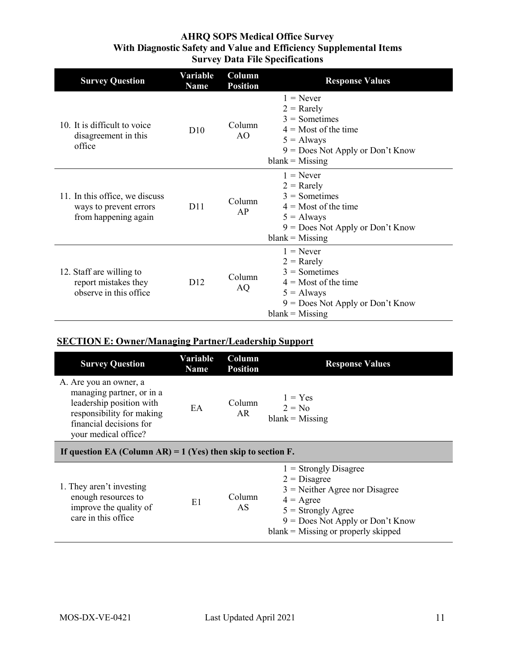| <b>Survey Question</b>                                                           | Variable<br><b>Name</b> | Column<br><b>Position</b> | <b>Response Values</b>                                                                                                                              |
|----------------------------------------------------------------------------------|-------------------------|---------------------------|-----------------------------------------------------------------------------------------------------------------------------------------------------|
| 10. It is difficult to voice<br>disagreement in this<br>office                   | D10                     | Column<br>AO              | $1 =$ Never<br>$2 =$ Rarely<br>$3 =$ Sometimes<br>$4 =$ Most of the time<br>$5 =$ Always<br>$9 = Does Not Apply or Don't Know$<br>$blank = Missing$ |
| 11. In this office, we discuss<br>ways to prevent errors<br>from happening again | D11                     | Column<br>AP              | $1 =$ Never<br>$2 =$ Rarely<br>$3 =$ Sometimes<br>$4 =$ Most of the time<br>$5 =$ Always<br>$9 = Does Not Apply or Don't Know$<br>$blank = Missing$ |
| 12. Staff are willing to<br>report mistakes they<br>observe in this office       | D12                     | Column<br>AQ              | $1 =$ Never<br>$2 =$ Rarely<br>$3 =$ Sometimes<br>$4 =$ Most of the time<br>$5 =$ Always<br>$9 = Does Not Apply or Don't Know$<br>$blank = Missing$ |

## **SECTION E: Owner/Managing Partner/Leadership Support**

| <b>Survey Question</b>                                                                                                                                          | Variable<br><b>Name</b> | Column<br><b>Position</b> | <b>Response Values</b>                                                                                                                                                                                     |  |  |
|-----------------------------------------------------------------------------------------------------------------------------------------------------------------|-------------------------|---------------------------|------------------------------------------------------------------------------------------------------------------------------------------------------------------------------------------------------------|--|--|
| A. Are you an owner, a<br>managing partner, or in a<br>leadership position with<br>responsibility for making<br>financial decisions for<br>your medical office? | EA                      | Column<br>AR              | $1 = Yes$<br>$2 = No$<br>$blank = Missing$                                                                                                                                                                 |  |  |
| If question EA (Column AR) = $1$ (Yes) then skip to section F.                                                                                                  |                         |                           |                                                                                                                                                                                                            |  |  |
| 1. They aren't investing<br>enough resources to<br>improve the quality of<br>care in this office                                                                | E1                      | Column<br>AS              | $1 =$ Strongly Disagree<br>$2 = Disagree$<br>$3$ = Neither Agree nor Disagree<br>$4 = \text{Agree}$<br>$5 =$ Strongly Agree<br>$9 = Does Not Apply or Don't Know$<br>$blank = Missing$ or properly skipped |  |  |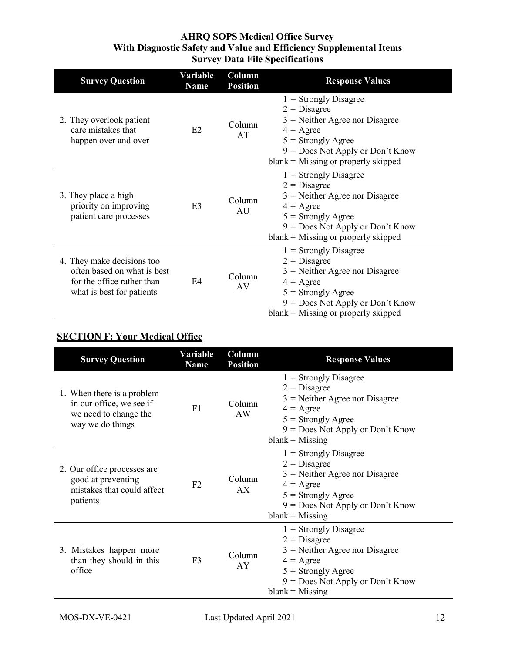| <b>Survey Question</b>                                                                                               | Variable<br><b>Name</b> | Column<br><b>Position</b> | <b>Response Values</b>                                                                                                                                                                                     |
|----------------------------------------------------------------------------------------------------------------------|-------------------------|---------------------------|------------------------------------------------------------------------------------------------------------------------------------------------------------------------------------------------------------|
| 2. They overlook patient<br>care mistakes that<br>happen over and over                                               | E2                      | Column<br>AT              | $1 =$ Strongly Disagree<br>$2 = Disagree$<br>$3$ = Neither Agree nor Disagree<br>$4 = \text{Agree}$<br>$5 =$ Strongly Agree<br>$9 = Does Not Apply or Don't Know$<br>$blank = Missing$ or properly skipped |
| 3. They place a high<br>priority on improving<br>patient care processes                                              | E <sub>3</sub>          | Column<br>AU              | $1 =$ Strongly Disagree<br>$2 = Disagree$<br>$3$ = Neither Agree nor Disagree<br>$4 = \text{Agree}$<br>$5 =$ Strongly Agree<br>$9 = Does Not Apply or Don't Know$<br>$blank = Missing$ or properly skipped |
| 4. They make decisions too<br>often based on what is best<br>for the office rather than<br>what is best for patients | E4                      | Column<br>AV              | $1 =$ Strongly Disagree<br>$2 = Disagree$<br>$3$ = Neither Agree nor Disagree<br>$4 = \text{Agree}$<br>$5 =$ Strongly Agree<br>$9 = Does Not Apply or Don't Know$<br>$blank = Missing$ or properly skipped |

## **SECTION F: Your Medical Office**

| <b>Survey Question</b>                                                                              | Variable<br><b>Name</b> | Column<br><b>Position</b> | <b>Response Values</b>                                                                                                                                                                 |
|-----------------------------------------------------------------------------------------------------|-------------------------|---------------------------|----------------------------------------------------------------------------------------------------------------------------------------------------------------------------------------|
| 1. When there is a problem<br>in our office, we see if<br>we need to change the<br>way we do things | F1                      | Column<br>AW              | $1 =$ Strongly Disagree<br>$2 = Disagree$<br>$3$ = Neither Agree nor Disagree<br>$4 = \text{Agree}$<br>$5 =$ Strongly Agree<br>$9 = Does Not Apply or Don't Know$<br>$blank = Missing$ |
| 2. Our office processes are<br>good at preventing<br>mistakes that could affect<br>patients         | F <sub>2</sub>          | Column<br>AX              | $1 =$ Strongly Disagree<br>$2 = Disagree$<br>$3$ = Neither Agree nor Disagree<br>$4 = \text{Agree}$<br>$5 =$ Strongly Agree<br>$9 = Does Not Apply or Don't Know$<br>$blank = Missing$ |
| 3. Mistakes happen more<br>than they should in this<br>office                                       | F <sub>3</sub>          | Column<br>AY              | $1 =$ Strongly Disagree<br>$2 = Disagree$<br>$3$ = Neither Agree nor Disagree<br>$4 = \text{Agree}$<br>$5 =$ Strongly Agree<br>$9 = Does Not Apply or Don't Know$<br>$blank = Missing$ |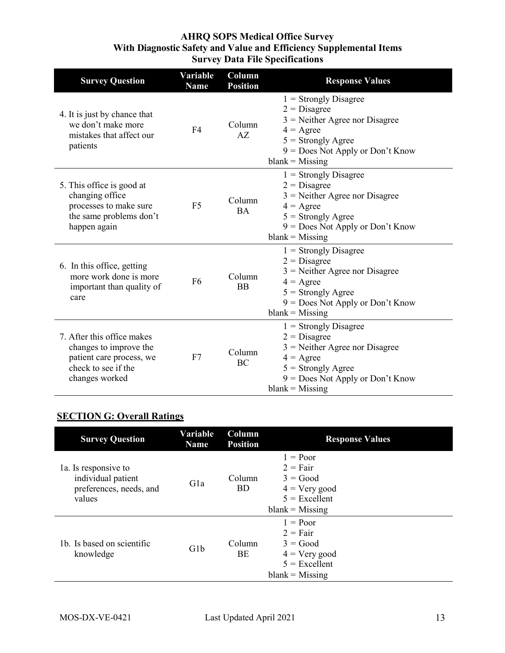| <b>Survey Question</b>                                                                                                    | <b>Variable</b><br><b>Name</b> | Column<br><b>Position</b> | <b>Response Values</b>                                                                                                                                                                 |
|---------------------------------------------------------------------------------------------------------------------------|--------------------------------|---------------------------|----------------------------------------------------------------------------------------------------------------------------------------------------------------------------------------|
| 4. It is just by chance that<br>we don't make more<br>mistakes that affect our<br>patients                                | F <sub>4</sub>                 | Column<br>AZ              | $1 =$ Strongly Disagree<br>$2 = Disagree$<br>$3$ = Neither Agree nor Disagree<br>$4 = \text{Agree}$<br>$5 =$ Strongly Agree<br>$9 = Does Not Apply or Don't Know$<br>$blank = Missing$ |
| 5. This office is good at<br>changing office<br>processes to make sure<br>the same problems don't<br>happen again         | F <sub>5</sub>                 | Column<br><b>BA</b>       | $1 =$ Strongly Disagree<br>$2 = Disagree$<br>$3$ = Neither Agree nor Disagree<br>$4 = \text{Agree}$<br>$5 =$ Strongly Agree<br>$9 = Does Not Apply or Don't Know$<br>$blank = Missing$ |
| 6. In this office, getting<br>more work done is more<br>important than quality of<br>care                                 | F <sub>6</sub>                 | Column<br><b>BB</b>       | $1 =$ Strongly Disagree<br>$2 = Disagree$<br>$3$ = Neither Agree nor Disagree<br>$4 = \text{Agree}$<br>$5 =$ Strongly Agree<br>9 = Does Not Apply or Don't Know<br>$blank = Missing$   |
| 7. After this office makes<br>changes to improve the<br>patient care process, we<br>check to see if the<br>changes worked | F7                             | Column<br>BC              | $1 =$ Strongly Disagree<br>$2 = Disagree$<br>$3$ = Neither Agree nor Disagree<br>$4 = \text{Agree}$<br>$5 =$ Strongly Agree<br>$9 = Does Not Apply or Don't Know$<br>$blank = Missing$ |

## **SECTION G: Overall Ratings**

| <b>Survey Question</b>                                                          | Variable<br><b>Name</b> | <b>Column</b><br><b>Position</b> | <b>Response Values</b>                                                                                          |
|---------------------------------------------------------------------------------|-------------------------|----------------------------------|-----------------------------------------------------------------------------------------------------------------|
| 1a. Is responsive to<br>individual patient<br>preferences, needs, and<br>values | Gla                     | Column<br><b>BD</b>              | $1 = Poor$<br>$2 = \text{Fair}$<br>$3 = Good$<br>$4 = \text{Very good}$<br>$5 =$ Excellent<br>$blank = Missing$ |
| 1b. Is based on scientific<br>knowledge                                         | G <sub>1</sub> b        | Column<br>BE                     | $1 = Poor$<br>$2 = Fair$<br>$3 = Good$<br>$4 = \text{Very good}$<br>$5 =$ Excellent<br>$blank = Missing$        |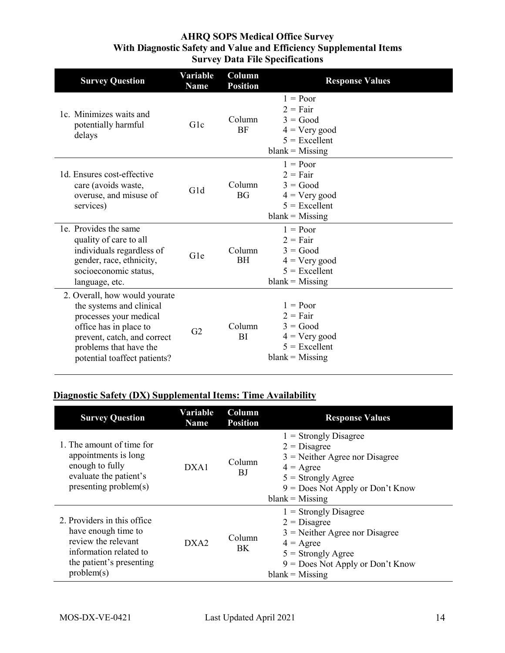| <b>Survey Question</b>                                                                                                                                                                                 | Variable<br><b>Name</b> | Column<br><b>Position</b> | <b>Response Values</b>                                                                            |
|--------------------------------------------------------------------------------------------------------------------------------------------------------------------------------------------------------|-------------------------|---------------------------|---------------------------------------------------------------------------------------------------|
| 1c. Minimizes waits and<br>potentially harmful<br>delays                                                                                                                                               | Glc                     | Column<br><b>BF</b>       | $1 = Poor$<br>$2 = Fair$<br>$3 = Good$<br>$4 = Very good$<br>$5 =$ Excellent<br>$blank = Missing$ |
| 1d. Ensures cost-effective<br>care (avoids waste,<br>overuse, and misuse of<br>services)                                                                                                               | G1d                     | Column<br><b>BG</b>       | $1 = Poor$<br>$2 = Fair$<br>$3 = Good$<br>$4 = Very good$<br>$5 =$ Excellent<br>$blank = Missing$ |
| 1e. Provides the same<br>quality of care to all<br>individuals regardless of<br>gender, race, ethnicity,<br>socioeconomic status,<br>language, etc.                                                    | Gle                     | Column<br><b>BH</b>       | $1 = Poor$<br>$2 = Fair$<br>$3 = Good$<br>$4 = Very good$<br>$5 =$ Excellent<br>$blank = Missing$ |
| 2. Overall, how would yourate<br>the systems and clinical<br>processes your medical<br>office has in place to<br>prevent, catch, and correct<br>problems that have the<br>potential toaffect patients? | G <sub>2</sub>          | Column<br>BI              | $1 = Poor$<br>$2 = Fair$<br>$3 = Good$<br>$4 =$ Very good<br>$5 =$ Excellent<br>$blank = Missing$ |

#### **Diagnostic Safety (DX) Supplemental Items: Time Availability**

| <b>Survey Question</b>                                                                                                                         | Variable<br><b>Name</b> | Column<br><b>Position</b> | <b>Response Values</b>                                                                                                                                                                 |
|------------------------------------------------------------------------------------------------------------------------------------------------|-------------------------|---------------------------|----------------------------------------------------------------------------------------------------------------------------------------------------------------------------------------|
| 1. The amount of time for<br>appointments is long<br>enough to fully<br>evaluate the patient's<br>presenting problem(s)                        | DXA1                    | Column<br>ВJ              | $1 =$ Strongly Disagree<br>$2 = Disagree$<br>$3$ = Neither Agree nor Disagree<br>$4 = \text{Agree}$<br>$5 =$ Strongly Agree<br>$9 = Does Not Apply or Don't Know$<br>$blank = Missing$ |
| 2. Providers in this office.<br>have enough time to<br>review the relevant<br>information related to<br>the patient's presenting<br>problem(s) | DXA2                    | Column<br>BK.             | $1 =$ Strongly Disagree<br>$2 = Disagree$<br>$3$ = Neither Agree nor Disagree<br>$4 = \text{Agree}$<br>$5 =$ Strongly Agree<br>$9 = Does Not Apply or Don't Know$<br>$blank = Missing$ |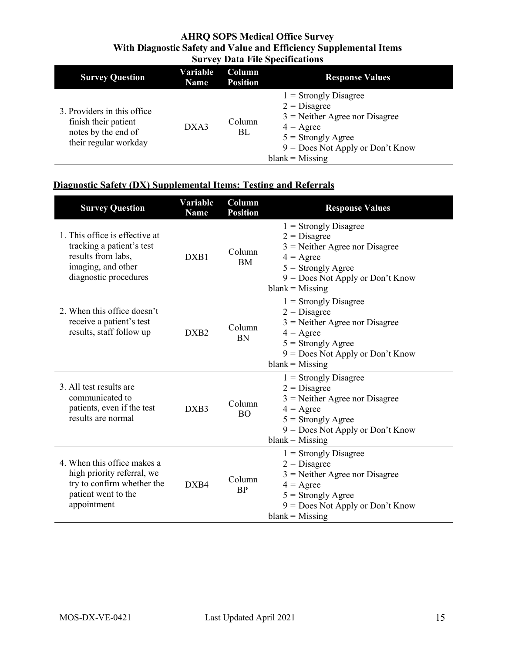| <b>Survey Question</b>                                                                               | Variable<br><b>Name</b> | Column<br><b>Position</b> | <b>Response Values</b>                                                                                                                                                                 |
|------------------------------------------------------------------------------------------------------|-------------------------|---------------------------|----------------------------------------------------------------------------------------------------------------------------------------------------------------------------------------|
| 3. Providers in this office.<br>finish their patient<br>notes by the end of<br>their regular workday | DXA3                    | Column<br>BL              | $1 =$ Strongly Disagree<br>$2 = Disagree$<br>$3$ = Neither Agree nor Disagree<br>$4 = \text{Agree}$<br>$5 =$ Strongly Agree<br>$9 = Does Not Apply or Don't Know$<br>$blank = Missing$ |

## **Diagnostic Safety (DX) Supplemental Items: Testing and Referrals**

| <b>Survey Question</b>                                                                                                           | Variable<br><b>Name</b> | Column<br><b>Position</b> | <b>Response Values</b>                                                                                                                                                                 |
|----------------------------------------------------------------------------------------------------------------------------------|-------------------------|---------------------------|----------------------------------------------------------------------------------------------------------------------------------------------------------------------------------------|
| 1. This office is effective at<br>tracking a patient's test<br>results from labs,<br>imaging, and other<br>diagnostic procedures | DXB1                    | Column<br><b>BM</b>       | $1 =$ Strongly Disagree<br>$2 = Disagree$<br>$3$ = Neither Agree nor Disagree<br>$4 = \text{Agree}$<br>$5 =$ Strongly Agree<br>$9 = Does Not Apply or Don't Know$<br>$blank = Missing$ |
| 2. When this office doesn't<br>receive a patient's test<br>results, staff follow up                                              | DXB <sub>2</sub>        | Column<br><b>BN</b>       | $1 =$ Strongly Disagree<br>$2 = Disagree$<br>$3$ = Neither Agree nor Disagree<br>$4 = \text{Agree}$<br>$5 =$ Strongly Agree<br>$9 = Does Not Apply or Don't Know$<br>$blank = Missing$ |
| 3. All test results are<br>communicated to<br>patients, even if the test<br>results are normal                                   | DXB3                    | Column<br><b>BO</b>       | $1 =$ Strongly Disagree<br>$2 = Disagree$<br>$3$ = Neither Agree nor Disagree<br>$4 = \text{Agree}$<br>$5 =$ Strongly Agree<br>$9 = Does Not Apply or Don't Know$<br>$blank = Missing$ |
| 4. When this office makes a<br>high priority referral, we<br>try to confirm whether the<br>patient went to the<br>appointment    | DXB4                    | Column<br><b>BP</b>       | $1 =$ Strongly Disagree<br>$2 = Disagree$<br>$3$ = Neither Agree nor Disagree<br>$4 = \text{Agree}$<br>$5 =$ Strongly Agree<br>$9 = Does Not Apply or Don't Know$<br>$blank = Missing$ |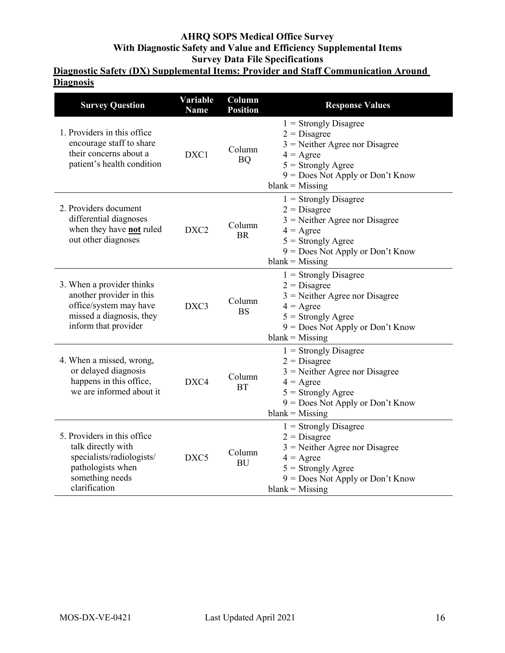## **Diagnostic Safety (DX) Supplemental Items: Provider and Staff Communication Around Diagnosis**

| <b>Survey Question</b>                                                                                                                  | Variable<br><b>Name</b> | Column<br><b>Position</b> | <b>Response Values</b>                                                                                                                                                                 |
|-----------------------------------------------------------------------------------------------------------------------------------------|-------------------------|---------------------------|----------------------------------------------------------------------------------------------------------------------------------------------------------------------------------------|
| 1. Providers in this office<br>encourage staff to share<br>their concerns about a<br>patient's health condition                         | DXC1                    | Column<br><b>BQ</b>       | $1 =$ Strongly Disagree<br>$2 = Disagree$<br>$3$ = Neither Agree nor Disagree<br>$4 = \text{Agree}$<br>$5 =$ Strongly Agree<br>9 = Does Not Apply or Don't Know<br>$blank = Missing$   |
| 2. Providers document<br>differential diagnoses<br>when they have not ruled<br>out other diagnoses                                      | DXC <sub>2</sub>        | Column<br><b>BR</b>       | $1 =$ Strongly Disagree<br>$2 = Disagree$<br>$3$ = Neither Agree nor Disagree<br>$4 = \text{Agree}$<br>$5 =$ Strongly Agree<br>9 = Does Not Apply or Don't Know<br>$blank = Missing$   |
| 3. When a provider thinks<br>another provider in this<br>office/system may have<br>missed a diagnosis, they<br>inform that provider     | DXC3                    | Column<br><b>BS</b>       | $1 =$ Strongly Disagree<br>$2 = Disagree$<br>$3$ = Neither Agree nor Disagree<br>$4 = \text{Agree}$<br>$5 =$ Strongly Agree<br>$9 = Does Not Apply or Don't Know$<br>$blank = Missing$ |
| 4. When a missed, wrong,<br>or delayed diagnosis<br>happens in this office,<br>we are informed about it                                 | DXC4                    | Column<br><b>BT</b>       | $1 =$ Strongly Disagree<br>$2 = Disagree$<br>$3$ = Neither Agree nor Disagree<br>$4 = \text{Agree}$<br>$5 =$ Strongly Agree<br>9 = Does Not Apply or Don't Know<br>$blank = Missing$   |
| 5. Providers in this office<br>talk directly with<br>specialists/radiologists/<br>pathologists when<br>something needs<br>clarification | DXC <sub>5</sub>        | Column<br><b>BU</b>       | $1 =$ Strongly Disagree<br>$2 = Disagree$<br>$3$ = Neither Agree nor Disagree<br>$4 = \text{Agree}$<br>$5 =$ Strongly Agree<br>9 = Does Not Apply or Don't Know<br>$blank = Missing$   |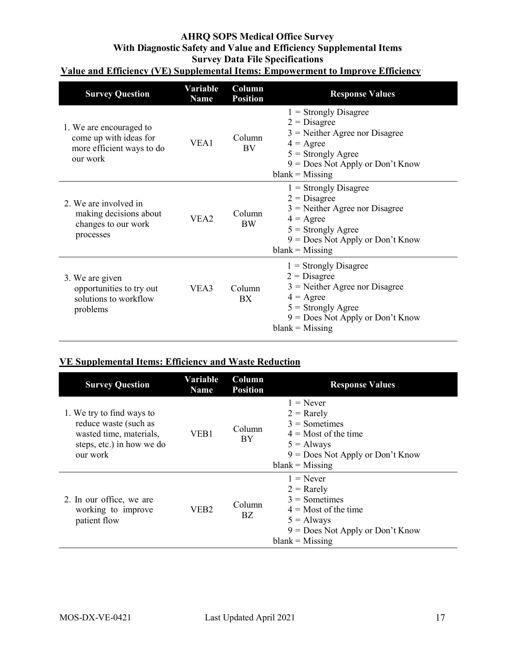#### **AHRQ SOPS Medical Office Survey With Diagnostic Safety and Value and Efficiency Supplemental Items Survey Data File Specifications Value and Efficiency (VE) Supplemental Items: Empowerment to Improve Efficiency**

| <b>Survey Question</b>                                                                     | Variable<br>Name | Column<br><b>Position</b> | <b>Response Values</b>                                                                                                                                                                 |
|--------------------------------------------------------------------------------------------|------------------|---------------------------|----------------------------------------------------------------------------------------------------------------------------------------------------------------------------------------|
| 1. We are encouraged to<br>come up with ideas for<br>more efficient ways to do<br>our work | VEA1             | Column<br><b>BV</b>       | $1 =$ Strongly Disagree<br>$2 = Disagree$<br>$3$ = Neither Agree nor Disagree<br>$4 = \text{Agree}$<br>$5 =$ Strongly Agree<br>$9 = Does Not Apply or Don't Know$<br>$blank = Missing$ |
| 2. We are involved in<br>making decisions about<br>changes to our work<br>processes        | VEA <sub>2</sub> | Column<br><b>BW</b>       | $1 =$ Strongly Disagree<br>$2 = Disagree$<br>$3$ = Neither Agree nor Disagree<br>$4 = \text{Agree}$<br>$5 =$ Strongly Agree<br>$9 = Does Not Apply or Don't Know$<br>$blank = Missing$ |
| 3. We are given<br>opportunities to try out<br>solutions to workflow<br>problems           | VEA3             | Column<br><b>BX</b>       | $1 =$ Strongly Disagree<br>$2 = Disagree$<br>$3$ = Neither Agree nor Disagree<br>$4 = \text{Agree}$<br>$5 =$ Strongly Agree<br>$9 = Does Not Apply or Don't Know$<br>$blank = Missing$ |

## **VE Supplemental Items: Efficiency and Waste Reduction**

| <b>Survey Question</b>                                                                                                 | Variable<br><b>Name</b> | Column<br><b>Position</b> | <b>Response Values</b>                                                                                                                              |
|------------------------------------------------------------------------------------------------------------------------|-------------------------|---------------------------|-----------------------------------------------------------------------------------------------------------------------------------------------------|
| 1. We try to find ways to<br>reduce waste (such as<br>wasted time, materials,<br>steps, etc.) in how we do<br>our work | VEB1                    | Column<br>BY              | $1 =$ Never<br>$2 =$ Rarely<br>$3 =$ Sometimes<br>$4 =$ Most of the time<br>$5 =$ Always<br>$9 = Does Not Apply or Don't Know$<br>$blank = Missing$ |
| 2. In our office, we are<br>working to improve<br>patient flow                                                         | VEB <sub>2</sub>        | Column<br>BZ              | $1 =$ Never<br>$2 =$ Rarely<br>$3 =$ Sometimes<br>$4 =$ Most of the time<br>$5 =$ Always<br>$9 = Does Not Apply or Don't Know$<br>$blank = Missing$ |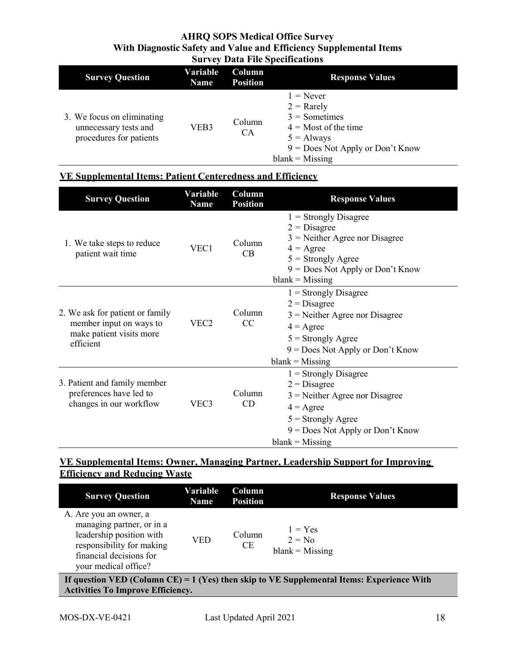| <b>Survey Question</b>                                                         | Variable<br><b>Name</b> | Column<br><b>Position</b> | <b>Response Values</b>                                                                                                                              |
|--------------------------------------------------------------------------------|-------------------------|---------------------------|-----------------------------------------------------------------------------------------------------------------------------------------------------|
| 3. We focus on eliminating<br>unnecessary tests and<br>procedures for patients | VEB3                    | Column<br><b>CA</b>       | $1 =$ Never<br>$2 =$ Rarely<br>$3 =$ Sometimes<br>$4 =$ Most of the time<br>$5 =$ Always<br>$9 = Does Not Apply or Don't Know$<br>$blank = Missing$ |

#### **VE Supplemental Items: Patient Centeredness and Efficiency**

| <b>Survey Question</b>                                                                              | Variable<br><b>Name</b> | Column<br><b>Position</b> | <b>Response Values</b>                                                                                                                                                                 |
|-----------------------------------------------------------------------------------------------------|-------------------------|---------------------------|----------------------------------------------------------------------------------------------------------------------------------------------------------------------------------------|
| 1. We take steps to reduce<br>patient wait time                                                     | VEC1                    | Column<br>CB              | $1 =$ Strongly Disagree<br>$2 = Disagree$<br>$3$ = Neither Agree nor Disagree<br>$4 = \text{Agree}$<br>$5 =$ Strongly Agree<br>$9 = Does Not Apply or Don't Know$<br>$blank = Missing$ |
| 2. We ask for patient or family<br>member input on ways to<br>make patient visits more<br>efficient | VEC <sub>2</sub>        | Column<br>CC              | $1 =$ Strongly Disagree<br>$2 = Disagree$<br>$3$ = Neither Agree nor Disagree<br>$4 = \text{Agree}$<br>$5 =$ Strongly Agree<br>$9 = Does Not Apply or Don't Know$<br>$blank = Missing$ |
| 3. Patient and family member<br>preferences have led to<br>changes in our workflow                  | VEC3                    | Column<br>CD              | $1 =$ Strongly Disagree<br>$2 = Disagree$<br>$3$ = Neither Agree nor Disagree<br>$4 = \text{Agree}$<br>$5 =$ Strongly Agree<br>$9 = Does Not Apply or Don't Know$<br>$blank = Missing$ |

## **VE Supplemental Items: Owner, Managing Partner, Leadership Support for Improving Efficiency and Reducing Waste**

| <b>Survey Question</b>                                                                                                                                          | Variable<br>Name | Column<br><b>Position</b> | <b>Response Values</b>                     |  |  |  |  |
|-----------------------------------------------------------------------------------------------------------------------------------------------------------------|------------------|---------------------------|--------------------------------------------|--|--|--|--|
| A. Are you an owner, a<br>managing partner, or in a<br>leadership position with<br>responsibility for making<br>financial decisions for<br>your medical office? | VED              | Column<br><b>CE</b>       | $1 = Yes$<br>$2 = No$<br>$blank = Missing$ |  |  |  |  |
| If question VED (Column CE) = 1 (Yes) then skip to VE Supplemental Items: Experience With<br><b>Activities To Improve Efficiency.</b>                           |                  |                           |                                            |  |  |  |  |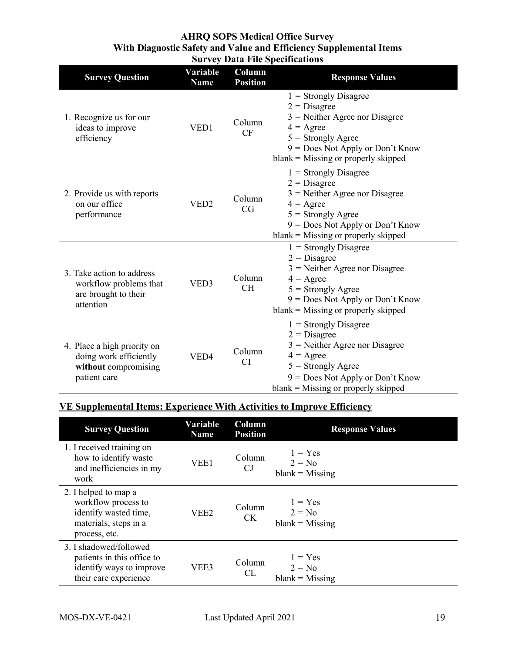| <b>Survey Question</b>                                                                        | <b>Variable</b><br><b>Name</b> | Column<br><b>Position</b> | <b>Response Values</b>                                                                                                                                                                                     |
|-----------------------------------------------------------------------------------------------|--------------------------------|---------------------------|------------------------------------------------------------------------------------------------------------------------------------------------------------------------------------------------------------|
| 1. Recognize us for our<br>ideas to improve<br>efficiency                                     | VED1                           | Column<br><b>CF</b>       | $1 =$ Strongly Disagree<br>$2 = Disagree$<br>$3$ = Neither Agree nor Disagree<br>$4 = \text{Agree}$<br>$5 =$ Strongly Agree<br>$9 = Does Not Apply or Don't Know$<br>$blank = Missing$ or properly skipped |
| 2. Provide us with reports<br>on our office<br>performance                                    | VED <sub>2</sub>               | Column<br>CG              | $1 =$ Strongly Disagree<br>$2 = Disagree$<br>$3$ = Neither Agree nor Disagree<br>$4 = \text{Agree}$<br>$5 =$ Strongly Agree<br>9 = Does Not Apply or Don't Know<br>$blank = Missing$ or properly skipped   |
| 3. Take action to address<br>workflow problems that<br>are brought to their<br>attention      | VED3                           | Column<br><b>CH</b>       | $1 =$ Strongly Disagree<br>$2 = Disagree$<br>$3$ = Neither Agree nor Disagree<br>$4 = \text{Agree}$<br>$5 =$ Strongly Agree<br>$9 = Does Not Apply or Don't Know$<br>$blank = Missing$ or properly skipped |
| 4. Place a high priority on<br>doing work efficiently<br>without compromising<br>patient care | VED4                           |                           | $1 =$ Strongly Disagree<br>$2 = Disagree$<br>$3$ = Neither Agree nor Disagree<br>$4 = \text{Agree}$<br>$5 =$ Strongly Agree<br>$9 = Does Not Apply or Don't Know$<br>$blank = Missing$ or properly skipped |

## **VE Supplemental Items: Experience With Activities to Improve Efficiency**

| <b>Survey Question</b>                                                                                         | Variable<br><b>Name</b> | Column<br><b>Position</b> | <b>Response Values</b>                     |
|----------------------------------------------------------------------------------------------------------------|-------------------------|---------------------------|--------------------------------------------|
| 1. I received training on<br>how to identify waste<br>and inefficiencies in my<br>work                         | VEE1                    | Column<br>CJ              | $1 = Yes$<br>$2 = No$<br>$blank = Missing$ |
| 2. I helped to map a<br>workflow process to<br>identify wasted time,<br>materials, steps in a<br>process, etc. | VEE <sub>2</sub>        | Column<br><b>CK</b>       | $1 = Yes$<br>$2 = No$<br>$blank = Missing$ |
| 3. I shadowed/followed<br>patients in this office to<br>identify ways to improve<br>their care experience      | VEE3                    | Column<br>CL              | $1 = Yes$<br>$2 = No$<br>$blank = Missing$ |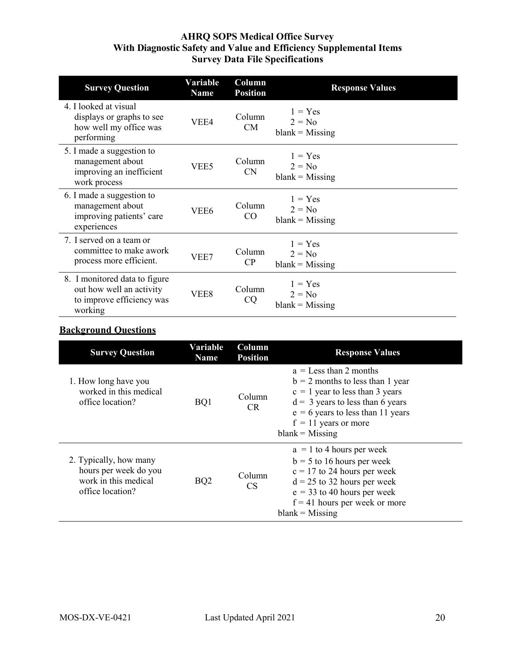| <b>Survey Question</b>                                                                            | Variable<br><b>Name</b> | Column<br><b>Position</b> | <b>Response Values</b>                     |
|---------------------------------------------------------------------------------------------------|-------------------------|---------------------------|--------------------------------------------|
| 4. I looked at visual<br>displays or graphs to see<br>how well my office was<br>performing        | VEE4                    | Column<br><b>CM</b>       | $1 = Yes$<br>$2 = No$<br>$blank = Missing$ |
| 5. I made a suggestion to<br>management about<br>improving an inefficient<br>work process         | VEE5                    | Column<br>CN              | $1 = Yes$<br>$2 = No$<br>$blank = Missing$ |
| 6. I made a suggestion to<br>management about<br>improving patients' care<br>experiences          | VEE <sub>6</sub>        | Column<br>CO              | $1 = Yes$<br>$2 = No$<br>$blank = Missing$ |
| 7. I served on a team or<br>committee to make awork<br>process more efficient.                    | VEE7                    | Column<br>CP              | $1 = Yes$<br>$2 = No$<br>$blank = Missing$ |
| 8. I monitored data to figure<br>out how well an activity<br>to improve efficiency was<br>working | VEE8                    | Column<br>CQ              | $1 = Yes$<br>$2 = No$<br>$blank = Missing$ |

## **Background Questions**

| <b>Survey Question</b>                                                                      | Variable<br><b>Name</b> | Column<br><b>Position</b> | <b>Response Values</b>                                                                                                                                                                                                          |
|---------------------------------------------------------------------------------------------|-------------------------|---------------------------|---------------------------------------------------------------------------------------------------------------------------------------------------------------------------------------------------------------------------------|
| 1. How long have you<br>worked in this medical<br>office location?                          | BQ1                     | Column<br>CR.             | $a =$ Less than 2 months<br>$b = 2$ months to less than 1 year<br>$c = 1$ year to less than 3 years<br>$d = 3$ years to less than 6 years<br>$e = 6$ years to less than 11 years<br>$f = 11$ years or more<br>$blank = Missing$ |
| 2. Typically, how many<br>hours per week do you<br>work in this medical<br>office location? | BQ <sub>2</sub>         | Column<br><b>CS</b>       | $a = 1$ to 4 hours per week<br>$b = 5$ to 16 hours per week<br>$c = 17$ to 24 hours per week<br>$d = 25$ to 32 hours per week<br>$e = 33$ to 40 hours per week<br>$f = 41$ hours per week or more<br>$blank = Missing$          |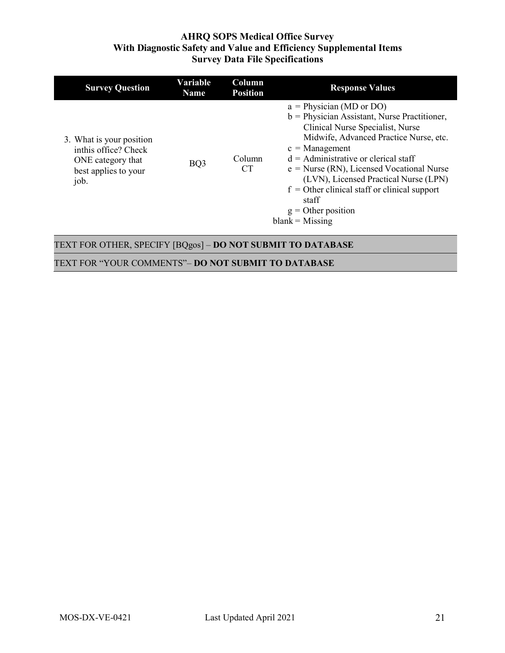| <b>Survey Question</b>                                                                                | Variable<br><b>Name</b> | <b>Column</b><br><b>Position</b> | <b>Response Values</b>                                                                                                                                                                                                                                                                                                                                                                                                    |
|-------------------------------------------------------------------------------------------------------|-------------------------|----------------------------------|---------------------------------------------------------------------------------------------------------------------------------------------------------------------------------------------------------------------------------------------------------------------------------------------------------------------------------------------------------------------------------------------------------------------------|
| 3. What is your position<br>inthis office? Check<br>ONE category that<br>best applies to your<br>job. | BQ3                     | Column<br><b>CT</b>              | $a = Physician (MD or DO)$<br>$b =$ Physician Assistant, Nurse Practitioner,<br>Clinical Nurse Specialist, Nurse<br>Midwife, Advanced Practice Nurse, etc.<br>$c =$ Management<br>$d =$ Administrative or clerical staff<br>$e = Nurse (RN)$ , Licensed Vocational Nurse<br>(LVN), Licensed Practical Nurse (LPN)<br>$f =$ Other clinical staff or clinical support<br>staff<br>$g =$ Other position<br>$blank = Missing$ |

## TEXT FOR OTHER, SPECIFY [BQgos] – **DO NOT SUBMIT TO DATABASE**

TEXT FOR "YOUR COMMENTS"– **DO NOT SUBMIT TO DATABASE**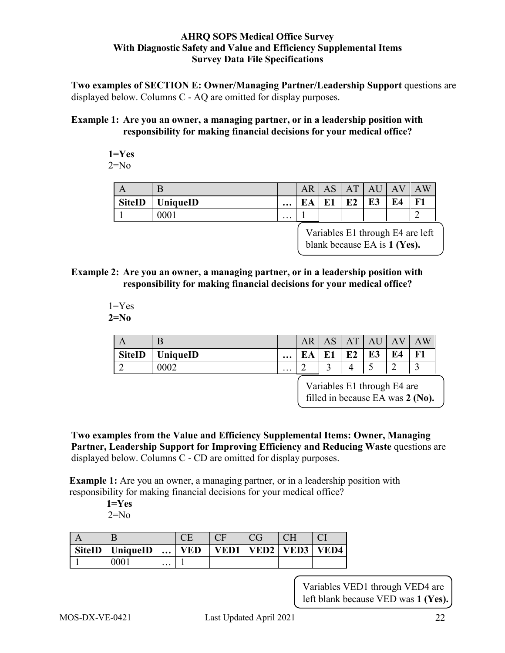**Two examples of SECTION E: Owner/Managing Partner/Leadership Support** questions are displayed below. Columns C - AQ are omitted for display purposes.

#### **Example 1: Are you an owner, a managing partner, or in a leadership position with responsibility for making financial decisions for your medical office?**

$$
\begin{array}{c} 1 = Yes \\ 2 = No \end{array}
$$

| $\Gamma$      | B        |          | AR         | $\sim$<br>AS | AT       | A  | A  | W<br>A |
|---------------|----------|----------|------------|--------------|----------|----|----|--------|
| <b>SiteID</b> | UniqueID | $\cdots$ | . $\Delta$ |              | D۹<br>L4 | E3 | E4 | Ð<br>ы |
|               | 0001     | $\cdots$ |            |              |          |    |    | ∽      |

Variables E1 through E4 are left blank because EA is **1 (Yes).**

#### **Example 2: Are you an owner, a managing partner, or in a leadership position with responsibility for making financial decisions for your medical office?**

#### $1 = Yes$ **2=No**

| $\boldsymbol{\mathcal{L}}$ | в        |                         | AR | $\sim$<br>л | $A^{\mathcal{T}}$ | A        | А<br>v | $\overline{\mathrm{W}}$<br>A١  |
|----------------------------|----------|-------------------------|----|-------------|-------------------|----------|--------|--------------------------------|
| <b>SiteID</b>              | UniqueID | $\bullet\bullet\bullet$ | EA | E1          | E <sub>2</sub>    | гэ<br>LJ | E4     | $\overline{\phantom{a}}$<br>н. |
|                            | 0002     | $\cdots$                |    | ັ           |                   | ٮ        | ◠<br>∸ | $\overline{\phantom{0}}$       |

Variables E1 through E4 are filled in because EA was **2 (No).**

**Two examples from the Value and Efficiency Supplemental Items: Owner, Managing Partner, Leadership Support for Improving Efficiency and Reducing Waste** questions are displayed below. Columns C - CD are omitted for display purposes.

**Example 1:** Are you an owner, a managing partner, or in a leadership position with responsibility for making financial decisions for your medical office?

> **1=Yes**  $2=N<sub>0</sub>$

| <b>SiteID</b> | <b>UniqueID</b> | $\ddotsc$ | ED | /ED1 | VED <sub>2</sub> | VED3 | 'ED4 |
|---------------|-----------------|-----------|----|------|------------------|------|------|
|               | ነበበ             | $\cdots$  |    |      |                  |      |      |

Variables VED1 through VED4 are left blank because VED was **1 (Yes).**